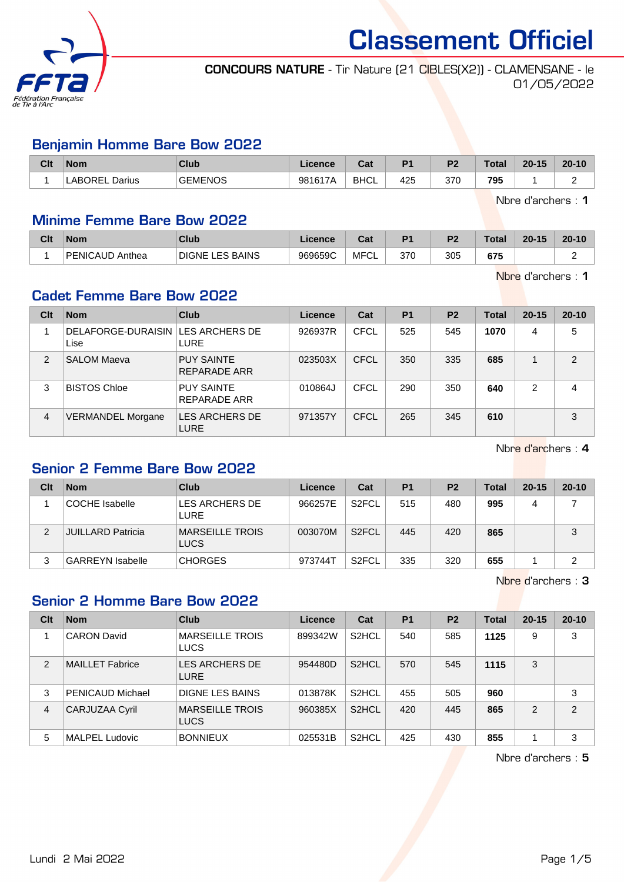

### CONCOURS NATURE - Tir Nature (21 CIBLES(X2)) - CLAMENSANE - le 01/05/2022

#### Benjamin Homme Bare Bow 2022

| Clt | <b>Nom</b>            | Club           | Licence | יה<br>ua    | D <sub>4</sub> | D <sub>2</sub> | Total | $20 - 15$ | $20 - 10$ |
|-----|-----------------------|----------------|---------|-------------|----------------|----------------|-------|-----------|-----------|
|     | <b>LABOREL Darius</b> | <b>GEMENOS</b> | 981617A | <b>BHCL</b> | 425            | 370            | 795   |           |           |

Nbre d'archers : 1

#### Minime Femme Bare Bow 2022

| Clt | <b>Nom</b>          | <b>Club</b>                      | .icence | ⊍a         | D <sub>1</sub> | ng. | Total | $20 - 15$ | $20 - 10$ |
|-----|---------------------|----------------------------------|---------|------------|----------------|-----|-------|-----------|-----------|
|     | PENICAUD.<br>Anthea | <b>LES BAINS</b><br><b>DIGNE</b> | 969659C | MFC'<br>◡∟ | 370            | 305 | 675   |           |           |

Nbre d'archers : 1

## Cadet Femme Bare Bow 2022

| Clt            | <b>Nom</b>                                | <b>Club</b>                       | Licence | Cat         | <b>P1</b> | <b>P2</b> | <b>Total</b> | $20 - 15$ | $20 - 10$      |
|----------------|-------------------------------------------|-----------------------------------|---------|-------------|-----------|-----------|--------------|-----------|----------------|
|                | DELAFORGE-DURAISIN LES ARCHERS DE<br>Lise | <b>LURE</b>                       | 926937R | <b>CFCL</b> | 525       | 545       | 1070         | 4         | 5              |
| $\overline{2}$ | <b>SALOM Maeva</b>                        | <b>PUY SAINTE</b><br>REPARADE ARR | 023503X | CFCL        | 350       | 335       | 685          |           | $\overline{2}$ |
| 3              | <b>BISTOS Chloe</b>                       | <b>PUY SAINTE</b><br>REPARADE ARR | 010864J | CFCL        | 290       | 350       | 640          | 2         | 4              |
| $\overline{4}$ | <b>VERMANDEL Morgane</b>                  | LES ARCHERS DE<br><b>LURE</b>     | 971357Y | CFCL        | 265       | 345       | 610          |           | 3              |

Nbre d'archers : 4

## Senior 2 Femme Bare Bow 2022

| Clt | <b>Nom</b>               | Club                                  | Licence | Cat                | P <sub>1</sub> | <b>P2</b> | Total | $20 - 15$ | $20 - 10$ |
|-----|--------------------------|---------------------------------------|---------|--------------------|----------------|-----------|-------|-----------|-----------|
|     | COCHE Isabelle           | LES ARCHERS DE<br><b>LURE</b>         | 966257E | S <sub>2</sub> FCL | 515            | 480       | 995   | 4         |           |
| 2   | <b>JUILLARD Patricia</b> | <b>MARSEILLE TROIS</b><br><b>LUCS</b> | 003070M | S <sub>2</sub> FCL | 445            | 420       | 865   |           | 3         |
|     | <b>GARREYN Isabelle</b>  | <b>CHORGES</b>                        | 973744T | S <sub>2</sub> FCL | 335            | 320       | 655   |           | າ         |

Nbre d'archers : 3

#### Senior 2 Homme Bare Bow 2022

| Clt            | <b>Nom</b>              | Club                                  | Licence | Cat                | <b>P1</b> | <b>P2</b> | Total | $20 - 15$      | $20 - 10$      |
|----------------|-------------------------|---------------------------------------|---------|--------------------|-----------|-----------|-------|----------------|----------------|
|                | <b>CARON David</b>      | <b>MARSEILLE TROIS</b><br><b>LUCS</b> | 899342W | S <sub>2</sub> HCL | 540       | 585       | 1125  | 9              | 3              |
| 2              | <b>MAILLET Fabrice</b>  | LES ARCHERS DE<br><b>LURE</b>         | 954480D | S <sub>2</sub> HCL | 570       | 545       | 1115  | 3              |                |
| 3              | <b>PENICAUD Michael</b> | DIGNE LES BAINS                       | 013878K | S <sub>2</sub> HCL | 455       | 505       | 960   |                | 3              |
| $\overline{4}$ | <b>CARJUZAA Cyril</b>   | <b>MARSEILLE TROIS</b><br><b>LUCS</b> | 960385X | S <sub>2</sub> HCL | 420       | 445       | 865   | $\mathfrak{p}$ | $\mathfrak{p}$ |
| 5              | <b>MALPEL Ludovic</b>   | <b>BONNIEUX</b>                       | 025531B | S <sub>2</sub> HCL | 425       | 430       | 855   |                | 3              |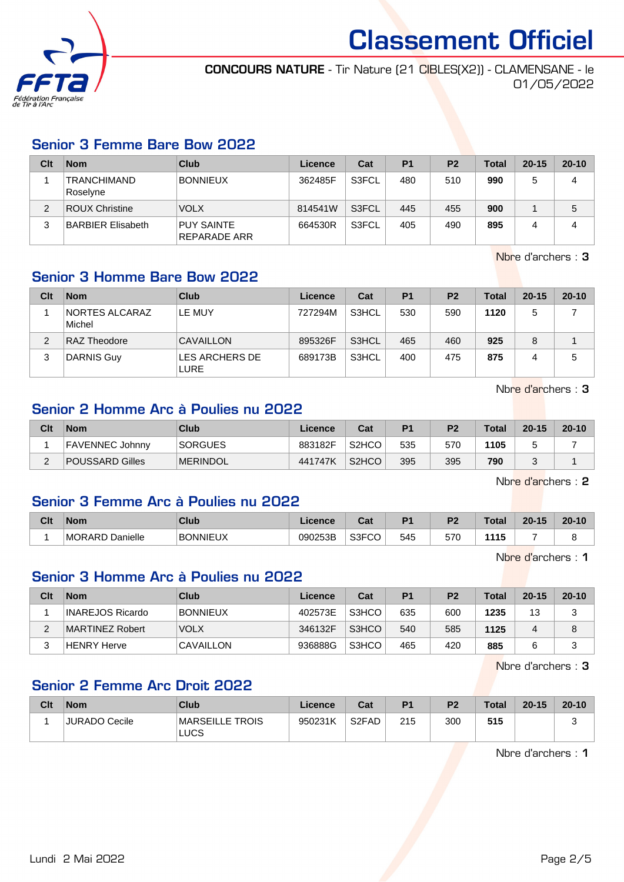

CONCOURS NATURE - Tir Nature (21 CIBLES(X2)) - CLAMENSANE - le 01/05/2022

#### Senior 3 Femme Bare Bow 2022

| Clt | <b>Nom</b>                     | Club                              | Licence | Cat   | P <sub>1</sub> | P <sub>2</sub> | <b>Total</b> | $20 - 15$ | $20 - 10$ |
|-----|--------------------------------|-----------------------------------|---------|-------|----------------|----------------|--------------|-----------|-----------|
|     | <b>TRANCHIMAND</b><br>Roselyne | <b>BONNIEUX</b>                   | 362485F | S3FCL | 480            | 510            | 990          |           | 4         |
| 2   | ROUX Christine                 | <b>VOLX</b>                       | 814541W | S3FCL | 445            | 455            | 900          |           | 5         |
|     | BARBIER Elisabeth              | <b>PUY SAINTE</b><br>REPARADE ARR | 664530R | S3FCL | 405            | 490            | 895          |           | 4         |

Nbre d'archers : 3

## Senior 3 Homme Bare Bow 2022

| Clt | <b>Nom</b>               | Club                          | Licence | Cat   | P <sub>1</sub> | P <sub>2</sub> | <b>Total</b> | $20 - 15$ | $20 - 10$ |
|-----|--------------------------|-------------------------------|---------|-------|----------------|----------------|--------------|-----------|-----------|
|     | NORTES ALCARAZ<br>Michel | LE MUY                        | 727294M | S3HCL | 530            | 590            | 1120         | 5         |           |
| っ   | RAZ Theodore             | CAVAILLON                     | 895326F | S3HCL | 465            | 460            | 925          | 8         |           |
| 3   | <b>DARNIS Guy</b>        | LES ARCHERS DE<br><b>LURE</b> | 689173B | S3HCL | 400            | 475            | 875          | 4         | 5         |

Nbre d'archers : 3

# Senior 2 Homme Arc à Poulies nu 2022

| Clt | <b>Nom</b>             | Club            | Licence | Cat                | P <sub>1</sub> | P <sub>2</sub> | <b>Total</b> | $20 - 15$ | $20 - 10$ |
|-----|------------------------|-----------------|---------|--------------------|----------------|----------------|--------------|-----------|-----------|
|     | <b>FAVENNEC Johnny</b> | <b>SORGUES</b>  | 883182F | S <sub>2</sub> HCO | 535            | 570            | 1105         |           |           |
| -   | POUSSARD Gilles        | <b>MERINDOL</b> | 441747K | S <sub>2</sub> HCO | 395            | 395            | 790          |           |           |

Nbre d'archers : 2

#### Senior 3 Femme Arc à Poulies nu 2022

| Clt | <b>Nom</b>                | Club            | icence  | יפ<br>⊍a           | D <sub>1</sub> | D.  | Total | -15<br>20 <sub>1</sub> | $20 - 10$ |
|-----|---------------------------|-----------------|---------|--------------------|----------------|-----|-------|------------------------|-----------|
|     | Danielle<br><b>MORARD</b> | <b>BONNIEUX</b> | 090253B | $\sim$<br>ుర్<br>w | 545            | 570 | 115   |                        |           |

Nbre d'archers : 1

#### Senior 3 Homme Arc à Poulies nu 2022

| Clt | <b>Nom</b>       | Club            | Licence | Cat   | P <sub>1</sub> | P <sub>2</sub> | <b>Total</b> | $20 - 15$ | $20 - 10$ |
|-----|------------------|-----------------|---------|-------|----------------|----------------|--------------|-----------|-----------|
|     | INAREJOS Ricardo | <b>BONNIEUX</b> | 402573E | S3HCO | 635            | 600            | 1235         | 13        |           |
|     | MARTINEZ Robert  | <b>VOLX</b>     | 346132F | S3HCO | 540            | 585            | 1125         |           |           |
|     | HENRY Herve      | CAVAILLON       | 936888G | S3HCO | 465            | 420            | 885          |           |           |

Nbre d'archers : 3

# Senior 2 Femme Arc Droit 2022

| Clt | <b>Nom</b>     | Club                    | Licence | Cat                | P <sub>1</sub> | P <sub>2</sub> | <b>Total</b> | $20 - 15$ | $20 - 10$ |
|-----|----------------|-------------------------|---------|--------------------|----------------|----------------|--------------|-----------|-----------|
|     | ⊦JURADO Cecile | MARSEILLE TROIS<br>LUCS | 950231K | S <sub>2</sub> FAD | 215            | 300            | 515          |           |           |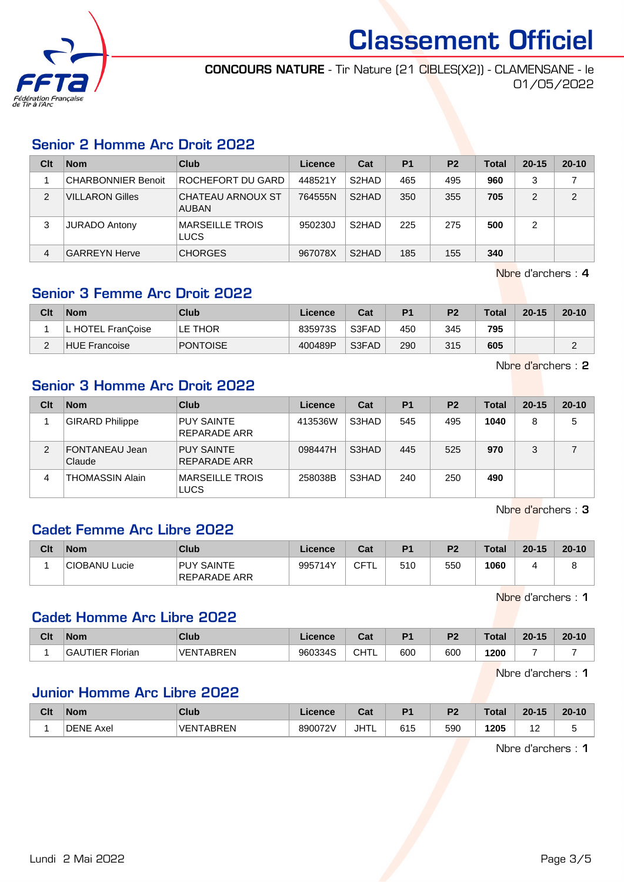

CONCOURS NATURE - Tir Nature (21 CIBLES(X2)) - CLAMENSANE - le 01/05/2022

### Senior 2 Homme Arc Droit 2022

| Clt | <b>Nom</b>             | Club                              | Licence | Cat                | P <sub>1</sub> | P <sub>2</sub> | <b>Total</b> | $20 - 15$ | $20 - 10$ |
|-----|------------------------|-----------------------------------|---------|--------------------|----------------|----------------|--------------|-----------|-----------|
|     | CHARBONNIER Benoit     | ROCHEFORT DU GARD                 | 448521Y | S <sub>2</sub> HAD | 465            | 495            | 960          | ົ         |           |
| 2   | <b>VILLARON Gilles</b> | CHATEAU ARNOUX ST<br><b>AUBAN</b> | 764555N | S <sub>2</sub> HAD | 350            | 355            | 705          | 2         | 2         |
| 3   | <b>JURADO Antony</b>   | <b>MARSEILLE TROIS</b><br>LUCS    | 950230J | S <sub>2</sub> HAD | 225            | 275            | 500          | 2         |           |
| 4   | <b>GARREYN Herve</b>   | <b>CHORGES</b>                    | 967078X | S <sub>2</sub> HAD | 185            | 155            | 340          |           |           |

Nbre d'archers : 4

## Senior 3 Femme Arc Droit 2022

| Clt    | <b>Nom</b>           | Club            | Licence | Cat   | <b>P1</b> | P <sub>2</sub> | Total | $20 - 15$ | $20 - 10$ |
|--------|----------------------|-----------------|---------|-------|-----------|----------------|-------|-----------|-----------|
|        | L HOTEL FranCoise    | LE THOR         | 835973S | S3FAD | 450       | 345            | 795   |           |           |
| $\sim$ | <b>HUE Francoise</b> | <b>PONTOISE</b> | 400489P | S3FAD | 290       | 315            | 605   |           |           |

Nbre d'archers : 2

# Senior 3 Homme Arc Droit 2022

| Clt | <b>Nom</b>               | Club                              | Licence | Cat   | P <sub>1</sub> | P <sub>2</sub> | <b>Total</b> | $20 - 15$ | $20 - 10$ |
|-----|--------------------------|-----------------------------------|---------|-------|----------------|----------------|--------------|-----------|-----------|
|     | <b>GIRARD Philippe</b>   | <b>PUY SAINTE</b><br>REPARADE ARR | 413536W | S3HAD | 545            | 495            | 1040         | 8         | 5         |
| 2   | FONTANEAU Jean<br>Claude | <b>PUY SAINTE</b><br>REPARADE ARR | 098447H | S3HAD | 445            | 525            | 970          | 3         |           |
| 4   | THOMASSIN Alain          | MARSEILLE TROIS<br>LUCS           | 258038B | S3HAD | 240            | 250            | 490          |           |           |

Nbre d'archers : 3

## Cadet Femme Arc Libre 2022

| Clt | <b>Nom</b>    | Club                              | Licence | Cat | P1  | P <sub>2</sub> | <b>Total</b> | $20 - 15$ | $20 - 10$ |
|-----|---------------|-----------------------------------|---------|-----|-----|----------------|--------------|-----------|-----------|
|     | CIOBANU Lucie | <b>PUY SAINTE</b><br>REPARADE ARR | 995714Y | CFT | 510 | 550            | 1060         |           |           |

Nbre d'archers : 1

## Cadet Homme Arc Libre 2022

| Clt | <b>Nom</b>                    | Club                  | Licence | ◠∼<br>⊍a⊧ | P <sub>1</sub> | P <sub>2</sub> | Total | $20 - 15$ | $20 - 10$ |
|-----|-------------------------------|-----------------------|---------|-----------|----------------|----------------|-------|-----------|-----------|
|     | <b>TIFR</b><br>GAI<br>Florian | <b>TARRFN</b><br>VFN' | 960334S | CHTL      | 600            | 600            | 1200  |           |           |

Nbre d'archers : 1

## Junior Homme Arc Libre 2022

| Clt | <b>Nom</b>          | Club             | Licence | ີລະ<br>uai  | D <sub>1</sub> | D0  | $\tau$ otal | $20 - 15$ | $20 - 10$ |
|-----|---------------------|------------------|---------|-------------|----------------|-----|-------------|-----------|-----------|
|     | <b>DENE</b><br>Axel | <b>VENTABREN</b> | 890072V | IHTI<br>JUL | 615            | 590 | 1205        | . .       |           |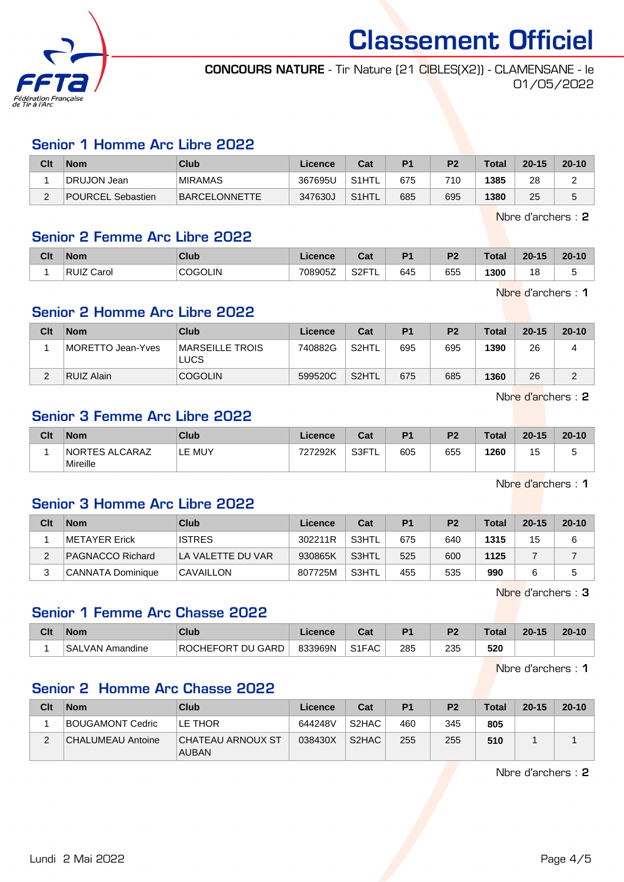

CONCOURS NATURE - Tir Nature (21 CIBLES(X2)) - CLAMENSANE - le 01/05/2022

#### Senior 1 Homme Arc Libre 2022

| Clt        | <b>Nom</b>        | Club           | Licence | Cat                | P <sub>1</sub> | P <sub>2</sub> | Total | $20 - 15$ | $20 - 10$ |
|------------|-------------------|----------------|---------|--------------------|----------------|----------------|-------|-----------|-----------|
|            | DRUJON Jean       | <b>MIRAMAS</b> | 367695U | S <sub>1</sub> HTL | 675            | 710            | 1385  | 28        |           |
| $\sqrt{2}$ | POURCEL Sebastien | BARCELONNETTE  | 347630J | S <sub>1</sub> HTL | 685            | 695            | 1380  | 25        | J         |

Nbre d'archers : 2

#### Senior 2 Femme Arc Libre 2022

| Clt | <b>Nom</b>           | <b>Club</b>    | <b>Licence</b> | ີາ<br>⊍a⊧               | D <sub>1</sub> | D <sub>2</sub> | Total | $20 - 15$ | $20 - 10$ |
|-----|----------------------|----------------|----------------|-------------------------|----------------|----------------|-------|-----------|-----------|
|     | <b>RUIZ</b><br>Carol | <b>COGOLIN</b> | 708905Z        | <b>QOET</b><br>،∠ت<br>- | 645            | 655            | 1300  | 18        | v         |

Nbre d'archers : 1

## Senior 2 Homme Arc Libre 2022

| Clt | <b>Nom</b>        | Club                           | Licence | Cat   | <b>P1</b> | P <sub>2</sub> | Total | $20 - 15$ | $20 - 10$ |
|-----|-------------------|--------------------------------|---------|-------|-----------|----------------|-------|-----------|-----------|
|     | MORETTO Jean-Yves | MARSEILLE TROIS<br><b>LUCS</b> | 740882G | S2HTL | 695       | 695            | 1390  | 26        |           |
| C   | RUIZ Alain        | <b>COGOLIN</b>                 | 599520C | S2HTL | 675       | 685            | 1360  | 26        | ◠         |

Nbre d'archers : 2

## Senior 3 Femme Arc Libre 2022

| Clt | <b>Nom</b>                        | Club   | Licence | Cat        | D <sub>1</sub> | P <sub>2</sub><br>- | <b>Total</b> | $20 - 15$ | $20 - 10$ |
|-----|-----------------------------------|--------|---------|------------|----------------|---------------------|--------------|-----------|-----------|
|     | <b>NORTES ALCARAZ</b><br>Mireille | ∟E MUY | 727292K | S3FT<br>-- | 605            | 655                 | 1260         | л<br>N    | v         |

Nbre d'archers : 1

#### Senior 3 Homme Arc Libre 2022

| Clt | <b>Nom</b>        | Club              | Licence | Cat   | P <sub>1</sub> | P <sub>2</sub> | <b>Total</b> | $20 - 15$ | $20 - 10$ |
|-----|-------------------|-------------------|---------|-------|----------------|----------------|--------------|-----------|-----------|
|     | METAYER Erick     | <b>ISTRES</b>     | 302211R | S3HTL | 675            | 640            | 1315         | 15        | 6         |
|     | PAGNACCO Richard  | LA VALETTE DU VAR | 930865K | S3HTL | 525            | 600            | 1125         |           |           |
|     | CANNATA Dominique | <b>CAVAILLON</b>  | 807725M | S3HTL | 455            | 535            | 990          |           |           |

Nbre d'archers : 3

#### Senior 1 Femme Arc Chasse 2022

| Clt | <b>Nom</b>                     | Club                                    | Licence | ∩^∙<br>ual         | D <sub>4</sub> | ng. | Total | $20 - 15$ | $20 - 10$ |
|-----|--------------------------------|-----------------------------------------|---------|--------------------|----------------|-----|-------|-----------|-----------|
|     | <b>SAL</b><br>Amandine<br>VAN. | <b>ANEFORT</b><br><b>DU GARD</b><br>ROC | 833969N | S <sub>1</sub> FAC | 285            | 235 | 520   |           |           |

Nbre d'archers : 1

## Senior 2 Homme Arc Chasse 2022

| Clt | <b>Nom</b>        | Club                                     | Licence | Cat                            | P <sub>1</sub> | P <sub>2</sub> | <b>Total</b> | $20 - 15$ | $20 - 10$ |
|-----|-------------------|------------------------------------------|---------|--------------------------------|----------------|----------------|--------------|-----------|-----------|
|     | BOUGAMONT Cedric  | ILE THOR                                 | 644248V | S <sub>2</sub> H <sub>AC</sub> | 460            | 345            | 805          |           |           |
| ∠   | CHALUMEAU Antoine | <b>CHATEAU ARNOUX ST</b><br><b>AUBAN</b> | 038430X | S <sub>2</sub> HAC             | 255            | 255            | 510          |           |           |